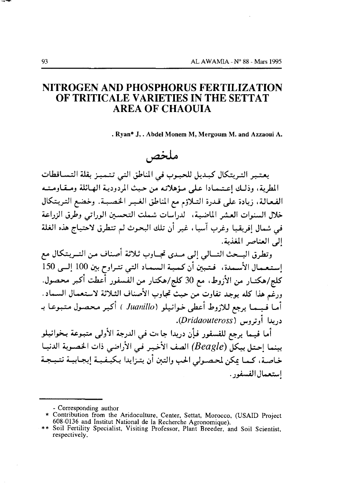# NITROGEN AND PHOSPHORUS FERTILIZATION OF TRITICALE VARIETIES IN THE SETTAT **AREA OF CHAOUIA**

. Rvan\* J, . Abdel Monem M, Mergoum M. and Azzaoui A.

# ملخص

يعتبر التريتكال كبديل للحبوب في المناطق التي تتميز بقلة التساقطات المطرية، وذلك إعتممادا على مؤهلاته من حيث المردودية الهائلة ومقاومته الفعالة، زيادة على قدرة التلاؤم مع المناطق الغير الخصبية. وخضع التريتكال خلال السنوات العشر الماضية، الدراسات شملت التحسين الوراتي وطرق الزراعة في شمال إفريقيا وغرب آسيا، غير أن تلك البحوث لم تتطرق لاحتياج هذه الغلة الى العناصر المغذية.

وتطرق البــحث التـــالى إلى مــدى تجــاوب ثـلاثة أصناف من التــريتكال مع استعمال الأسمدة، فتبين أن كمية السماد التي تتراوح بين 100 إلىي 150 كلج/هكتـار من الأزوط، مع 30 كلج/هكتـار من الفسفور أعطت أكبر محصول. ورغَّم هذا كله يوجد تفاوت من حيثٌ تجاوب الأصناف الثـلاثة لاستعمـال السـماد. أما فيما يرجع للازوط أعطى خوانيلو ( Juanillo ) أكبر محصول متبوعا بـ دريدا أوتروس (Dridaouteross).

أما فيـما يرجع للفسفور فـأٍن دريدا جاءت في الدرجة الأولى متبـوعة بـخوانيلو بينما احتل بيكل (Beagle) الصف الأخير في الأراضي ذات الخصوبة الدنيـا خاصة، كـما يكن لمحصـولي الحب والتبن أن يتـزايدا بكيـفـيـة إيجـابيـة نتـيـجـة استعمال الفسفور .

<sup>-</sup> Corresponding author

<sup>\*</sup> Contribution from the Aridoculture, Center, Settat, Morocco, (USAID Project 608-0136 and Institut National de la Recherche Agronomique).

<sup>\*\*</sup> Soil Fertility Specialist, Visiting Professor, Plant Breeder, and Soil Scientist, respectively.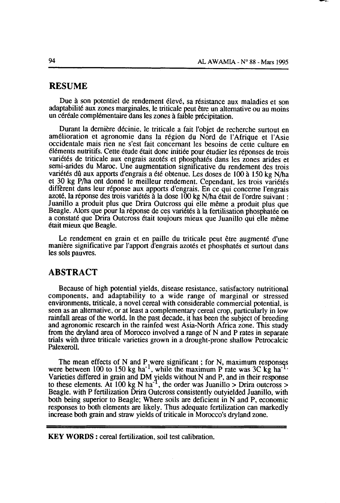#### RESUME

Due à son potentiel de rendement élevé, sa résistance aux maladies et son adaptabilité aux zones marginales, le triticale peut être un alternative ou au moins un céréale complémentaire dans les zones à faible précipitaton.

Durant la dernière décinie, le triticale a fait I'objet de recherche surtout en amélioration et agronomie dans la région du Nord de I'Afrique et I'Asie occidentale mais rien ne s'est fait concernant les besoins de cette culture en éléments nutritifs. Cette étude était donc initiée pour étudier les réponses de trois variétés de triticale aux engrais azotés et phosphatés dans les zones arides et semi-arides du Maroc. Une augmentation significative du rendement des trois variétés dû aux apports d'engrais a été obtenue. Les doses de 100 à 150 kg N/ha et 30 kg P/ha ont donné le meilleur rendement. Cependant, les trois variétés different dans leur réponse aux apports d'engrais. En ce qui concerne I'engrais azoté, la réponse des trois variétés à la dose 100 kg N/ha était de l'ordre suivant : Juanillo a produit plus que Drira Outcross qui elle même a produit plus que Beagle. Alors que pour la réponse de ces variétés à la fertilisation phosphatée on a constaté que Drira Outcross était toujours mieux que Juanillo qui elle même était mieux que Beagle.

Le rendement en grain et en paille du triticale peut être augmenté d'une manière significative par I'apport d'engrais azotés et phosphatés et surtout dans les sols pauvres.

#### ABSTRACT

Because of high potential yields, disease resistance, satisfactory nutritional components, and adaptability to a wide range of marginal or stressed environments, triticale, a novel cereal with considerable commercial potential, is seen as an altemative, or at least a complementary cereal crop, particularly in low rainfall areas of the world. In the past decade, it has been the subject of breeding and agronomic research in the rainfed west Asia-North Africa zone. This study from ihe dryland area of Morocco involved a range of N and P rates in separate trials with three triticale varieties grown in a drought-prone shallow Petrocalcic Palexeroll.

The mean effects of N and P,were significant ; for N, maximum responsqs were between 100 to 150 kg ha<sup>-1</sup>, while the maximum P rate was 3C kg ha<sup>-1</sup> Varieties differed in grain and DM yields without N and P, and in their response to these elements. At 100 kg N ha<sup>-1</sup>, the order was Juanillo > Drira outcross > Beagle. with P fertilization Drira Outcross consistently outyielded Juanillo, with both being superior to Beagle; Where soils are deficient in N and P, economic responses to both elements are likely. Thus adequate fertilization can markedly increase both grain and straw yields of triticale in Morocco's dryland zone.

KEY WORDS : cereal fertilization. soil test calibration.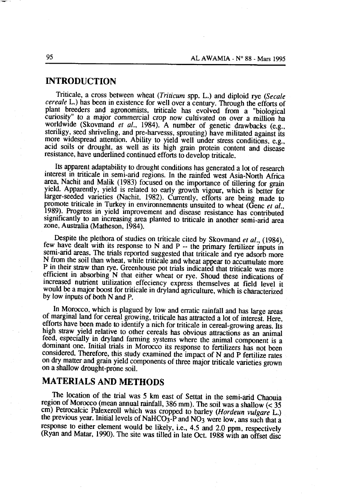#### **INTRODUCTION**

Triticale, a cross between wheat (Triticum spp. L.) and diploid rye (Secale cereale L.) has been in existence for well over a century. Through the efforts of plant breeders and agronomists, triticale has evolved from a "biological curiosity" to a major commercial crop now cultivated on over a million ha worldwide (Skovmand et al., 1984). A number of genetic drawbacks (e.g., steriligy, seed shriveling, and pre-harvesss, sprouting) have militated against its more widespread attention. Ability to yield well under stress conditions, e.g., acid soils or drought, as well as its high grain protein content and disease resistance, have underlined continued efforts to develop triticale.

Its apparent adaptability to drought conditions has generated a lot of research interest in triticale in semi-arid regions. In the rainfed west Asia-North Africa area, Nachit and Malik (1983) focused on the importance of tillering for grain yield. Apparently, yield is related to early growth vigour, which is better for larger-seeded varieties (Nachit, 1982). Currently, efforts are being made to promote triticale in Turkey in environmemnents unsuited to wheat (Genc et al., 1989). Progress in vield improvement and disease resistance has contributed significantly to an increasing area planted to triticale in another semi-arid area zone, Australia (Matheson, 1984).

Despite the plethora of studies on triticale cited by Skovmand et al., (1984), few have dealt with its response to N and P -- the primary fertilizer inputs in semi-arid areas. The trials reported suggested that triticale and rye adsorb more N from the soil than wheat, while triticale and wheat appear to accumulate more P in their straw than rye. Greenhouse pot trials indicated that triticale was more efficient in absorbing N that either wheat or rye. Shoud these indications of increased nutrient utilization effeciency express themselves at field level it would be a major boost for triticale in dryland agriculture, which is characterized by low inputs of both N and P.

In Morocco, which is plagued by low and erratic rainfall and has large areas of marginal land for cereal growing, triticale has attracted a lot of interest. Here, efforts have been made to identify a nich for triticale in cereal-growing areas. Its high straw vield relative to other cereals has obvious attractions as an animal feed, especially in dryland farming systems where the animal component is a dominant one. Initial trials in Morocco its response to fertilizers has not been considered. Therefore, this study examined the impact of N and P fertilize rates on dry matter and grain yield components of three major triticale varieties grown on a shallow drought-prone soil.

### **MATERIALS AND METHODS**

The location of the trial was 5 km east of Settat in the semi-arid Chaouia region of Morocco (mean annual rainfall, 386 mm). The soil was a shallow  $\leq 35$ cm) Petrocalcic Palexeroll which was cropped to barley (Hordeun vulgare L.) the previous year. Initial levels of NaHCO<sub>3</sub>-P and NO<sub>3</sub> were low, ans such that a response to either element would be likely, i.e., 4.5 and 2.0 ppm, respectively (Ryan and Matar, 1990). The site was tilled in late Oct. 1988 with an offset disc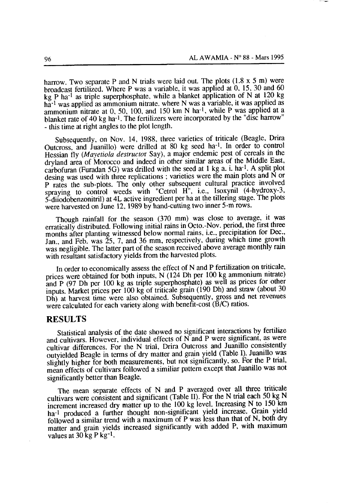harrow. Two separate P and N trials were laid out. The plots  $(1.8 \times 5 \text{ m})$  were broadcast fertilized. Where P was a variable, it was applied at 0, 15, 30 and 60 kg P ha<sup>-1</sup> as triple superphosphate, while a blanket application of N at 120 kg ha<sup>-1</sup> was applied as ammonium nitrate, where N was a variable, it was applied as ammonium nitrate at  $0, 50, 100$ , and  $150 \text{ km N}$  ha<sup>-1</sup>, while P was applied at a blanket rate of 40 kg ha-1. The fertilizers were incorporated by the "disc harrow" - this time at right angles to the plot length.

Subsequently, on Nov. 14, 1988, three varieties of triticale (Beagle, Drira Outcross, and Juanillo) were drilled at 80 kg seed ha<sup>-1</sup>. In order to control Hessian fly (Mayetiola destructor Say), a major endemic pest of cereals in the dryland area of Morocco and indeed in other similar areas of the Middle East. carbofuran (Furadan 5G) was drilled with the seed at 1 kg a. i. ha<sup>-1</sup>. A split plot desing was used with three replications ; varieties were the main plots and N or P rates the sub-plots. The only other subsequent cultural practice involved spraving to control weeds with "Cetrol H<sup>"</sup>, i.e., Isoxynil (4-hydroxy-3, 5-diiodobenzonitril) at 4L active ingredient per ha at the tillering stage. The plots were harvested on June 12, 1989 by hand-cutting two inner 5-m rows.

Though rainfall for the season (370 mm) was close to average, it was erratically distributed. Following initial rains in Octo.-Nov. period, the first three months after planting witnessed below normal rains, i.e., precipitation for Dec., Jan., and Feb. was 25, 7, and 36 mm, respectively, during which time growth was negligible. The latter part of the season received above average monthly rain with resultant satisfactory yields from the harvested plots.

In order to economically assess the effect of N and P fertilization on triticale, prices were obtained for both inputs. N (124 Dh per 100 kg ammonium nitrate) and P (97 Dh per 100 kg as triple superphosphate) as well as prices for other inputs. Market prices per 100 kg of triticale grain (190 Dh) and straw (about 30 Dh) at harvest time were also obtained. Subsequently, gross and net revenues were calculated for each variety along with benefit-cost  $(\tilde{B}/C)$  ratios.

#### **RESULTS**

Statistical analysis of the date showed no significant interactions by fertilize and cultivars. However, individual effects of N and P were significant, as were cultivar differences. For the N trial, Drira Outcross and Juanillo consistently outyielded Beagle in terms of dry matter and grain yield (Table I). Juanillo was slightly higher for both measurements, but not significantly, so. For the P trial, mean effects of cultivars followed a similiar pattern except that Juanillo was not significantly better than Beagle.

The mean separate effects of N and P averaged over all three triticale cultivars were consistent and significant (Table II). For the N trial each 50 kg N increment increased dry matter up to the 100 kg level. Increasing N to 150 km ha<sup>-1</sup> produced a further thought non-significant yield increase. Grain yield followed a similar trend with a maximum of P was less than that of N, both dry matter and grain yields increased significantly with added P, with maximum values at 30 kg P kg-1.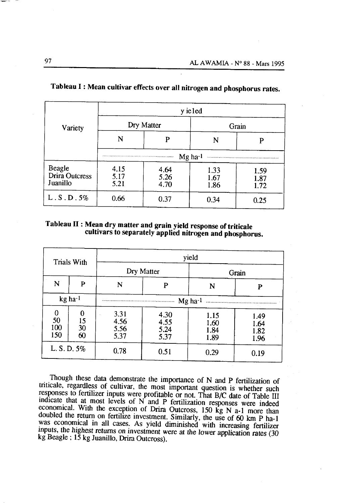| Variety                                            | y ieled                                                                                                                             |                      |                      |                      |  |  |
|----------------------------------------------------|-------------------------------------------------------------------------------------------------------------------------------------|----------------------|----------------------|----------------------|--|--|
|                                                    |                                                                                                                                     | Dry Matter           | Grain                |                      |  |  |
|                                                    |                                                                                                                                     | P                    |                      |                      |  |  |
|                                                    | $Mg$ ha- $l$<br>a ta ta ta ta ta ta ta ta ta ta ta san na na mata ya yi ya mata ta na na ta ta ta ta ta ta maa wa wanye wa yapapuja |                      |                      |                      |  |  |
| <b>Beagle</b><br><b>Drira Outcress</b><br>Juanillo | 4.15<br>5.17<br>5.21                                                                                                                | 4.64<br>5.26<br>4.70 | 1.33<br>1.67<br>1.86 | 1.59<br>1.87<br>1.72 |  |  |
| L.S.D.5%                                           | 0.66                                                                                                                                |                      | 0.34                 | 0.25                 |  |  |

# Tableau I: Mean cultivar effects over all nitrogen and phosphorus rates.

## Tableau II : Mean dry matter and grain yield response of triticale cultivars to separately applied nitrogen and phosphorus.

| <b>Trials With</b>    |                     | yield                        |                              |                              |                              |  |
|-----------------------|---------------------|------------------------------|------------------------------|------------------------------|------------------------------|--|
|                       |                     |                              | Dry Matter                   | Grain                        |                              |  |
| N                     | P                   | N                            | P                            | N                            | P                            |  |
|                       | kg ha-1             |                              |                              | $Mg$ ha-1                    |                              |  |
| 0<br>50<br>100<br>150 | 0<br>15<br>30<br>60 | 3.31<br>4.56<br>5.56<br>5.37 | 4.30<br>4.55<br>5.24<br>5.37 | 1.15<br>1.60<br>1.84<br>1.89 | 1.49<br>1.64<br>1.82<br>1.96 |  |
| L. S. D. 5%           |                     | 0.78                         | 0.51                         | 0.29                         | 0.19                         |  |

Though these data demonstrate the importance of N and P fertilization of triticale, regardless of cultivar, the most important question is whether such responses to fertilizer inputs were profitable or not. That B/C date of Table III indicate that at most levels of N and P fertilization responses were indeed economical. With the exception of Drira Outcross, 150 kg N a-1 more than doubled the return on fertilize investment. Similarly, the use of 60 km P ha-1 was economical in all cases. As yield diminished with increasing fertilizer inputs, the highest returns on investment were at the lower application rates (30 kg Beagle ; 15 kg Juanillo, Drira Outcross).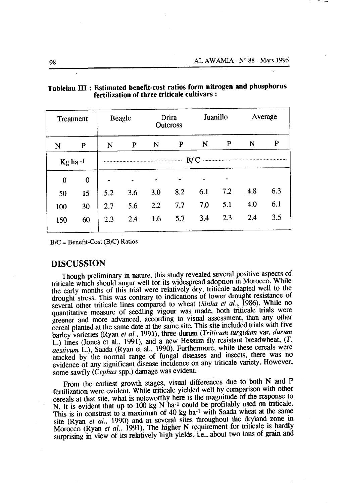| Treatment  |          | Drira<br><b>Beagle</b><br><b>Outcross</b> |     | Juanillo |     | Average |     |     |     |
|------------|----------|-------------------------------------------|-----|----------|-----|---------|-----|-----|-----|
| N          | P        | N                                         | P   | N        | P   | N       | P   | N   | P   |
| Kg ha $-1$ |          | B/C                                       |     |          |     |         |     |     |     |
| $\bf{0}$   | $\bf{0}$ |                                           |     |          |     |         |     |     |     |
| 50         | 15       | 5.2                                       | 3.6 | 3.0      | 8.2 | 6.1     | 7.2 | 4.8 | 6.3 |
| 100        | 30       | 2.7                                       | 5.6 | 2.2      | 7.7 | 7.0     | 5.1 | 4.0 | 6.1 |
| 150        | 60       | 2.3                                       | 2.4 | 1.6      | 5.7 | 3.4     | 2.3 | 2.4 | 3.5 |

Tableiau III : Estimated benefit-cost ratios form nitrogen and phosphorus fertilization of three triticale cultivars :

 $B/C =$  Benefit-Cost ( $B/C$ ) Ratios

#### **DISCUSSION**

Though preliminary in nature, this study revealed several positive aspects of triticale which should augur well for its widespread adoption in Morocco. While the early months of this trial were relatively dry, triticale adapted well to the drought stress. This was contrary to indications of lower drought resistance of several other triticale lines compared to wheat (Sinha et al., 1986). While no quantitative measure of seedling vigour was made, both triticale trials were greener and more advanced, according to visual assessment, than any other cereal planted at the same date at the same site. This site included trials with five barley varieties (Ryan et al., 1991), three durum (Triticum turgidum var. durum L.) lines (Jones et al., 1991), and a new Hessian fly-resistant breadwheat, (T. aestivum L.), Saada (Ryan et al., 1990). Furthermore, while these cereals were atacked by the normal range of fungal diseases and insects, there was no evidence of any significant disease incidence on any triticale variety. However, some sawfly (Cephus spp.) damage was evident.

From the earliest growth stages, visual differences due to both N and P fertilization were evident. While triticale yielded well by comparison with other cereals at that site, what is noteworthy here is the magnitude of the response to N. It is evident that up to 100 kg N ha<sup>-1</sup> could be profitably used on triticale. This is in constrast to a maximum of 40 kg ha-1 with Saada wheat at the same site (Ryan et al., 1990) and at several sites throughout the dryland zone in Morocco (Ryan et al., 1991). The higher N requirement for triticale is hardly surprising in view of its relatively high yields, i.e., about two tons of grain and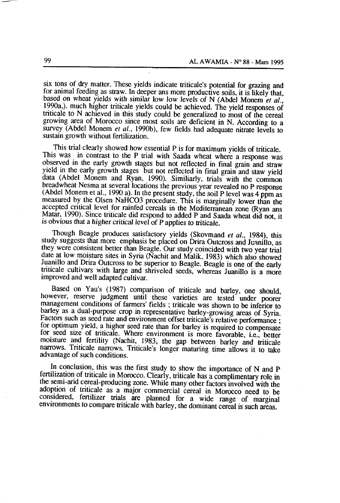six tons of dry matter. These yields indicate triticale's potential for grazing and for animal feeding as straw. In deeper ans more productive soils, it is likely that, based on wheat yields with similar low low levels of N (Abdel Monem et al., 1990a.). much higher triticale yields could be achieved. The yield responses of triticale to N achieved in this study could be generalized to most of the cereal growing area of Morocco since most soils are deficient in N. According to a survey (Abdel Monem et al., 1990b), few fields had adequate nitrate levels to sustain growth without fertilization.

This trial clearly showed how essential P is for maximum yields of triticale. This was in contrast to the P trial with Saada wheat where a response was observed in the early growth stages but not reflected in final grain and straw yield in the early growth stages but not reflected in final grain and staw yield data (Abdel Monem and Ryan, 1990). Similiarly, trials with the common breadwheat Nesma at several locations the previous year revealed no P response (Abdel Monem et al., 1990 a). In the present study, the soil P level was 4 ppm as measured by the Olsen NaHCO3 procedure. This is marginally lower than the accepted critical level for rainfed cereals in the Mediterranean zone (Ryan ans Matar, 1990). Since triticale did respond to added P and Saada wheat did not, it is obvious that a higher critical level of P applies to triticale.

Though Beagle produces satisfactory yields (Skovmand et al., 1984), this study suggests that more emphasis be placed on Drira Outcross and Juanillo, as they were consistent better than Beagle. Our study coincided with two year trial date at low moisture sites in Syria (Nachit and Malik, 1983) which also showed Juanillo and Drira Outcross to be superior to Beagle. Beagle is one of the early triticale cultivars with large and shriveled seeds, whereas Juanillo is a more improved and well adapted cultivar.

Based on Yau's (1987) comparison of triticale and barley, one should, however, reserve judgment until these varieties are tested under poorer management conditions of farmers' fields; triticale was shown to be inferior to barley as a dual-purpose crop in representative barley-growing areas of Syria. Factors such as seed rate and environment offset triticale's relative performance : for optimum yield, a higher seed rate than for barley is required to compensate for seed size of triticale. Where environment is more favorable, i.e., better moisture and fertility (Nachit, 1983, the gap between barley and triticale narrows. Triticale narrows. Triticale's longer maturing time allows it to take advantage of such conditions.

In conclusion, this was the first study to show the importance of N and P fertilization of triticale in Morocco. Clearly, triticale has a complimentary role in the semi-arid cereal-producing zone. While many other factors involved with the adoption of triticale as a major commercial cereal in Morocco need to be considered, fertilizer trials are planned for a wide range of marginal environments to compare triticale with barley, the dominant cereal is such areas.

99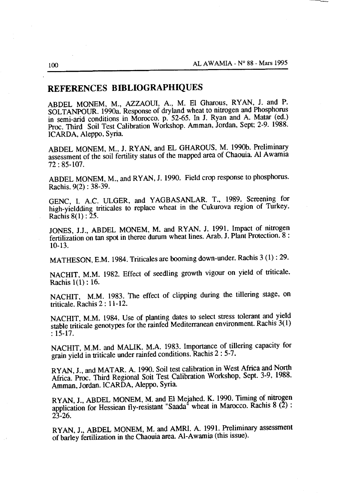## REFERENCES BIBLIOGRAPHIQUES

ABDEL MONEM, M., AZZAOUI, A., M. El Gharous, RYAN, J. and P. SOLTANPOUR. 1990a. Response of dryland wheat to nitrogen and Phosphorus in semi-arid conditions in Morocco. p. 52-65. In J. Ryan and A. Matar (ed.) Proc. Third Soil Test Calibration Workshop. Amman, Jordan, Sept. 2-9. 1988. ICARDA, Aleppo, Syria.

ABDEL MONEM, M., J. RYAN, and EL GHAROUS, M. 1990b. Preliminary assessment of the soil fertility status of the mapped area of Chaouia. Al Awamia  $72:85-107.$ 

ABDEL MONEM, M., and RYAN, J. 1990. Field crop response to phosphorus. Rachis. 9(2): 38-39.

GENC, I. A.C. ULGER, and YAGBASANLAR. T., 1989. Screening for high-yieldding triticales to replace wheat in the Cukurova region of Turkey. Rachis  $8(1)$ : 25.

JONES, J.J., ABDEL MONEM, M. and RYAN. J. 1991. Impact of nitrogen fertilization on tan spot in theree durum wheat lines. Arab. J. Plant Protection. 8:  $10-13.$ 

MATHESON, E.M. 1984. Triticales are booming down-under. Rachis 3 (1): 29.

NACHIT, M.M. 1982. Effect of seedling growth vigour on yield of triticale. Rachis  $1(1)$ : 16.

NACHIT, M.M. 1983. The effect of clipping during the tillering stage, on triticale. Rachis 2: 11-12.

NACHIT, M.M. 1984. Use of planting dates to select stress tolerant and yield stable triticale genotypes for the rainfed Mediterranean environment. Rachis 3(1)  $: 15 - 17.$ 

NACHIT, M.M. and MALIK, M.A. 1983. Importance of tillering capacity for grain yield in triticale under rainfed conditions. Rachis 2:5-7.

RYAN, J., and MATAR. A. 1990. Soil test calibration in West Africa and North Africa. Proc. Third Regional Soit Test Calibration Workshop, Sept. 3-9, 1988. Amman, Jordan. ICARDA, Aleppo, Syria.

RYAN, J., ABDEL MONEM, M. and El Meiahed. K. 1990. Timing of nitrogen application for Hessiean fly-resistant "Saada" wheat in Marocco. Rachis 8 (2):  $23 - 26$ .

RYAN, J., ABDEL MONEM, M. and AMRI. A. 1991. Preliminary assessment of barley fertilization in the Chaouia area. Al-Awamia (this issue).